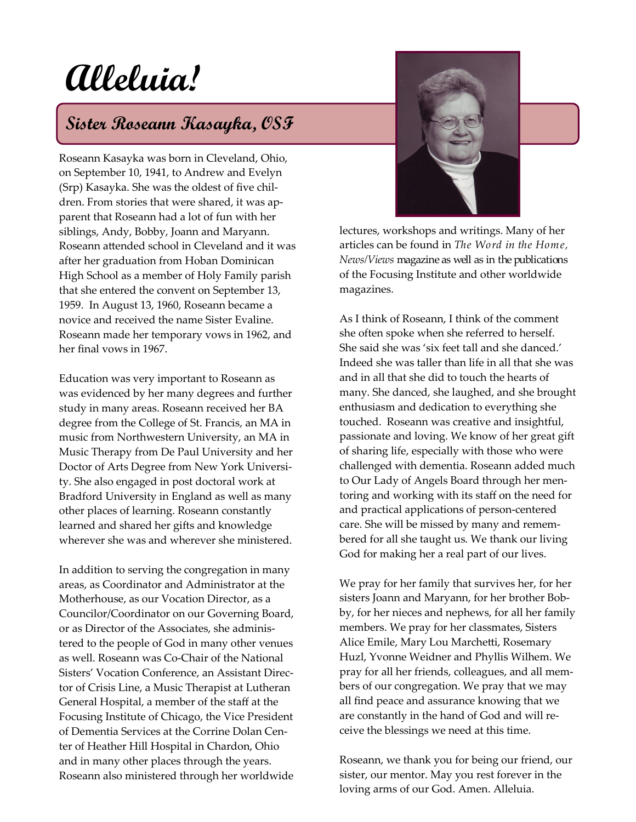## **Alleluia!**

## **Sister Roseann Kasayka, OSF**

Roseann Kasayka was born in Cleveland, Ohio, on September 10, 1941, to Andrew and Evelyn (Srp) Kasayka. She was the oldest of five children. From stories that were shared, it was apparent that Roseann had a lot of fun with her siblings, Andy, Bobby, Joann and Maryann. Roseann attended school in Cleveland and it was after her graduation from Hoban Dominican High School as a member of Holy Family parish that she entered the convent on September 13, 1959. In August 13, 1960, Roseann became a novice and received the name Sister Evaline. Roseann made her temporary vows in 1962, and her final vows in 1967.

Education was very important to Roseann as was evidenced by her many degrees and further study in many areas. Roseann received her BA degree from the College of St. Francis, an MA in music from Northwestern University, an MA in Music Therapy from De Paul University and her Doctor of Arts Degree from New York University. She also engaged in post doctoral work at Bradford University in England as well as many other places of learning. Roseann constantly learned and shared her gifts and knowledge wherever she was and wherever she ministered.

In addition to serving the congregation in many areas, as Coordinator and Administrator at the Motherhouse, as our Vocation Director, as a Councilor/Coordinator on our Governing Board, or as Director of the Associates, she administered to the people of God in many other venues as well. Roseann was Co-Chair of the National Sisters' Vocation Conference, an Assistant Director of Crisis Line, a Music Therapist at Lutheran General Hospital, a member of the staff at the Focusing Institute of Chicago, the Vice President of Dementia Services at the Corrine Dolan Center of Heather Hill Hospital in Chardon, Ohio and in many other places through the years. Roseann also ministered through her worldwide



lectures, workshops and writings. Many of her articles can be found in *The Word in the Home, News/Views* magazine as well as in the publications of the Focusing Institute and other worldwide magazines.

As I think of Roseann, I think of the comment she often spoke when she referred to herself. She said she was 'six feet tall and she danced.' Indeed she was taller than life in all that she was and in all that she did to touch the hearts of many. She danced, she laughed, and she brought enthusiasm and dedication to everything she touched. Roseann was creative and insightful, passionate and loving. We know of her great gift of sharing life, especially with those who were challenged with dementia. Roseann added much to Our Lady of Angels Board through her mentoring and working with its staff on the need for and practical applications of person-centered care. She will be missed by many and remembered for all she taught us. We thank our living God for making her a real part of our lives.

We pray for her family that survives her, for her sisters Joann and Maryann, for her brother Bobby, for her nieces and nephews, for all her family members. We pray for her classmates, Sisters Alice Emile, Mary Lou Marchetti, Rosemary Huzl, Yvonne Weidner and Phyllis Wilhem. We pray for all her friends, colleagues, and all members of our congregation. We pray that we may all find peace and assurance knowing that we are constantly in the hand of God and will receive the blessings we need at this time.

Roseann, we thank you for being our friend, our sister, our mentor. May you rest forever in the loving arms of our God. Amen. Alleluia.